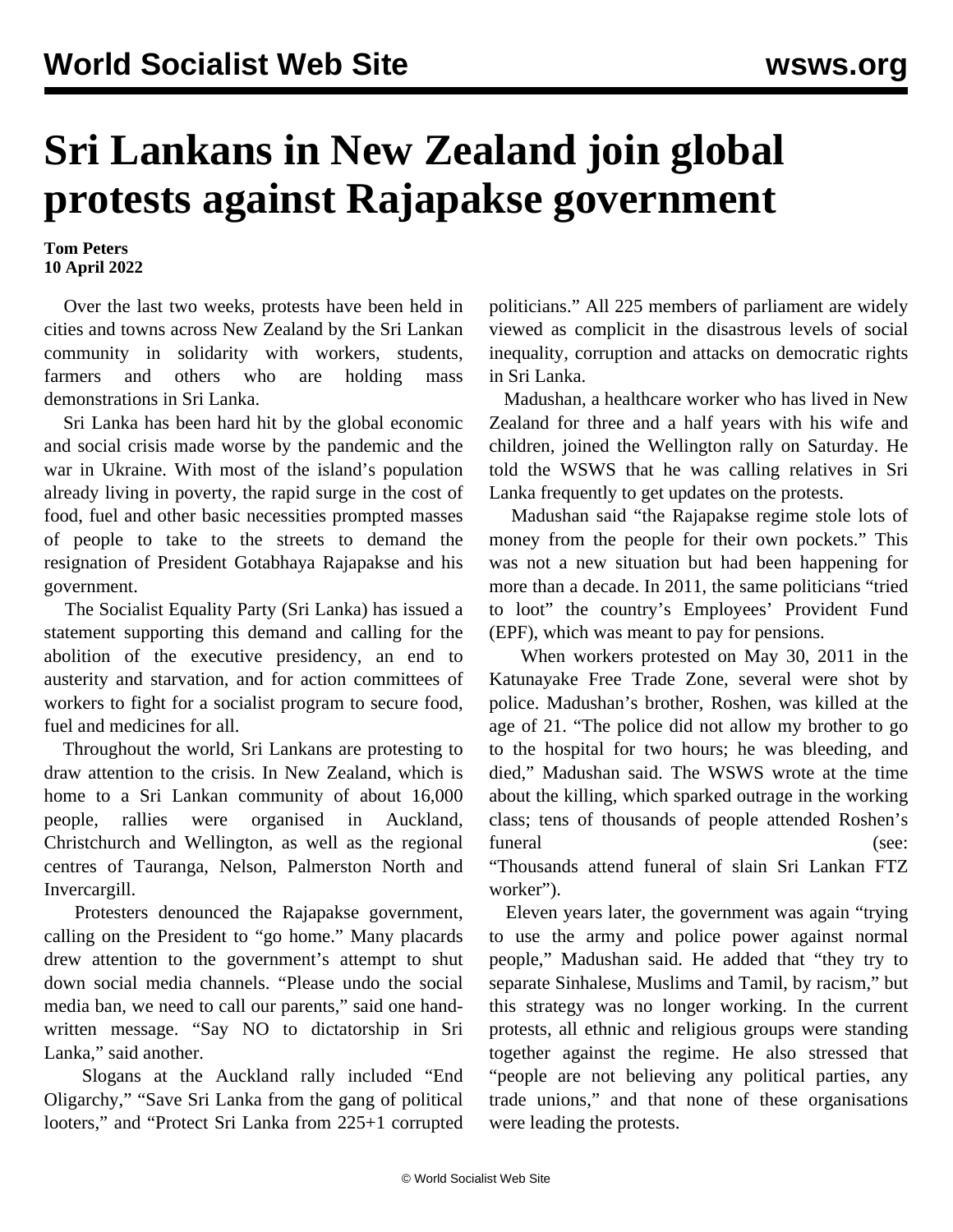## **Sri Lankans in New Zealand join global protests against Rajapakse government**

**Tom Peters 10 April 2022**

 Over the last two weeks, protests have been held in cities and towns across New Zealand by the Sri Lankan community in solidarity with workers, students, farmers and others who are holding mass demonstrations in Sri Lanka.

 Sri Lanka has been hard hit by the global economic and social crisis made worse by the pandemic and the war in Ukraine. With most of the island's population already living in poverty, the rapid surge in the cost of food, fuel and other basic necessities prompted masses of people to take to the streets to demand the resignation of President Gotabhaya Rajapakse and his government.

 The Socialist Equality Party (Sri Lanka) has issued a [statement](/en/articles/2022/04/07/sril-a07.html) supporting this demand and calling for the abolition of the executive presidency, an end to austerity and starvation, and for action committees of workers to fight for a socialist program to secure food, fuel and medicines for all.

 Throughout the world, Sri Lankans are protesting to draw attention to the crisis. In New Zealand, which is home to a Sri Lankan community of about 16,000 people, rallies were organised in Auckland, Christchurch and Wellington, as well as the regional centres of Tauranga, Nelson, Palmerston North and Invercargill.

 Protesters denounced the Rajapakse government, calling on the President to "go home." Many placards drew attention to the government's attempt to shut down social media channels. "Please undo the social media ban, we need to call our parents," said one handwritten message. "Say NO to dictatorship in Sri Lanka," said another.

 Slogans at the Auckland rally included "End Oligarchy," "Save Sri Lanka from the gang of political looters," and "Protect Sri Lanka from 225+1 corrupted politicians." All 225 members of parliament are widely viewed as complicit in the disastrous levels of social inequality, corruption and attacks on democratic rights in Sri Lanka.

 Madushan, a healthcare worker who has lived in New Zealand for three and a half years with his wife and children, joined the Wellington rally on Saturday. He told the WSWS that he was calling relatives in Sri Lanka frequently to get updates on the protests.

 Madushan said "the Rajapakse regime stole lots of money from the people for their own pockets." This was not a new situation but had been happening for more than a decade. In 2011, the same politicians "tried to loot" the country's Employees' Provident Fund (EPF), which was meant to pay for pensions.

 When workers protested on May 30, 2011 in the Katunayake Free Trade Zone, several were shot by police. Madushan's brother, Roshen, was killed at the age of 21. "The police did not allow my brother to go to the hospital for two hours; he was bleeding, and died," Madushan said. The WSWS wrote at the time about the killing, which sparked outrage in the working class; tens of thousands of people attended Roshen's funeral (see:

"[Thousands attend](/en/articles/2011/06/sftz-j06.html) [funeral](/en/articles/2011/06/sftz-j06.html) [of](/en/articles/2011/06/sftz-j06.html) [slain](/en/articles/2011/06/sftz-j06.html) [Sri](/en/articles/2011/06/sftz-j06.html) [Lankan](/en/articles/2011/06/sftz-j06.html) [FTZ](/en/articles/2011/06/sftz-j06.html) [worker](/en/articles/2011/06/sftz-j06.html)").

 Eleven years later, the government was again "trying to use the army and police power against normal people," Madushan said. He added that "they try to separate Sinhalese, Muslims and Tamil, by racism," but this strategy was no longer working. In the current protests, all ethnic and religious groups were standing together against the regime. He also stressed that "people are not believing any political parties, any trade unions," and that none of these organisations were leading the protests.